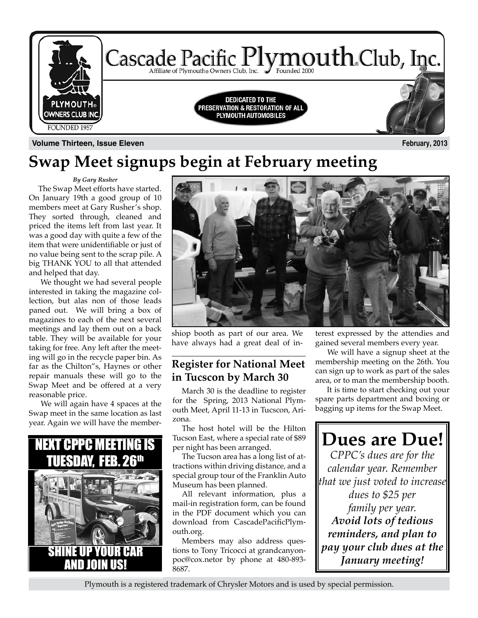

# **Swap Meet signups begin at February meeting**

*By Gary Rusher*

The Swap Meet efforts have started. On January 19th a good group of 10 members meet at Gary Rusher's shop. They sorted through, cleaned and priced the items left from last year. It was a good day with quite a few of the item that were unidentifiable or just of no value being sent to the scrap pile. A big THANK YOU to all that attended and helped that day.

 We thought we had several people interested in taking the magazine collection, but alas non of those leads paned out. We will bring a box of magazines to each of the next several meetings and lay them out on a back table. They will be available for your taking for free. Any left after the meeting will go in the recycle paper bin. As far as the Chilton"s, Haynes or other repair manuals these will go to the Swap Meet and be offered at a very reasonable price.

 We will again have 4 spaces at the Swap meet in the same location as last year. Again we will have the member-





shiop booth as part of our area. We have always had a great deal of in-

### **Register for National Meet in Tucscon by March 30**

March 30 is the deadline to register for the Spring, 2013 National Plymouth Meet, April 11-13 in Tucscon, Arizona.

The host hotel will be the Hilton Tucson East, where a special rate of \$89 per night has been arranged.

The Tucson area has a long list of attractions within driving distance, and a special group tour of the Franklin Auto Museum has been planned.

All relevant information, plus a mail-in registration form, can be found in the PDF document which you can download from CascadePacificPlymouth.org.

Members may also address questions to Tony Tricocci at grandcanyonpoc@cox.netor by phone at 480-893- 8687.

terest expressed by the attendies and gained several members every year.

 We will have a signup sheet at the membership meeting on the 26th. You can sign up to work as part of the sales area, or to man the membership booth.

 It is time to start checking out your spare parts department and boxing or bagging up items for the Swap Meet.

**Dues are Due!** *CPPC's dues are for the calendar year. Remember that we just voted to increase dues to \$25 per family per year. Avoid lots of tedious reminders, and plan to pay your club dues at the January meeting!*

Plymouth is a registered trademark of Chrysler Motors and is used by special permission.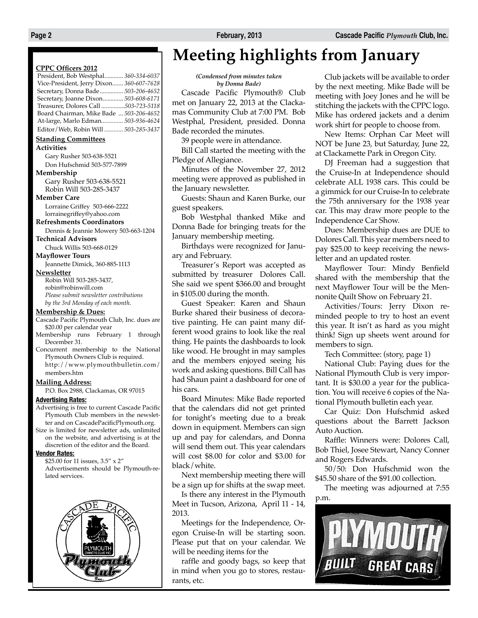#### **CPPC Officers 2012**

| President, Bob Westphal 360-334-6037     |
|------------------------------------------|
| Vice-President, Jerry Dixon 360-607-7628 |
| Secretary, Donna Bade 503-206-4652       |
| Secretary, Joanne Dixon 503-608-6171     |
| Treasurer, Dolores Call 503-723-5118     |
| Board Chairman, Mike Bade  503-206-4652  |
| At-large, Marlo Edman 503-936-4624       |
| Editor / Web, Robin Will  503-285-3437   |

#### **Standing Committees**

**Activities**

Gary Rusher 503-638-5521 Don Hufschmid 503-577-7899

#### **Membership**

Gary Rusher 503-638-5521 Robin Will 503-285-3437

#### **Member Care**

Lorraine Griffey 503-666-2222 lorrainegriffey@yahoo.com

#### **Refreshments Coordinators**

Dennis & Jeannie Mowery 503-663-1204

#### **Technical Advisors**

Chuck Willis 503-668-0129 **Mayflower Tours**

Jeannette Dimick, 360-885-1113

#### **Newsletter**

Robin Will 503-285-3437, robin@robinwill.com *Please submit newsletter contributions by the 3rd Monday of each month*.

#### **Membership & Dues:**

Cascade Pacific Plymouth Club, Inc. dues are \$20.00 per calendar year

- Membership runs February 1 through December 31.
- Concurrent membership to the National Plymouth Owners Club is required. http://www.plymouthbulletin.com/ members.htm

#### **Mailing Address:**

P.O. Box 2988, Clackamas, OR 97015

#### **Advertising Rates:**

Advertising is free to current Cascade Pacific Plymouth Club members in the newsletter and on CascadePacificPlymouth.org.

Size is limited for newsletter ads, unlimited on the website, and advertising is at the discretion of the editor and the Board.

#### **Vendor Rates:**

\$25.00 for 11 issues, 3.5" x 2" Advertisements should be Plymouth-related services.



# **Meeting highlights from January**

*(Condensed from minutes taken by Donna Bade)*

Cascade Pacific Plymouth® Club met on January 22, 2013 at the Clackamas Community Club at 7:00 PM. Bob Westphal, President, presided. Donna Bade recorded the minutes.

39 people were in attendance.

Bill Call started the meeting with the Pledge of Allegiance.

Minutes of the November 27, 2012 meeting were approved as published in the January newsletter.

Guests: Shaun and Karen Burke, our guest speakers.

Bob Westphal thanked Mike and Donna Bade for bringing treats for the January membership meeting.

Birthdays were recognized for January and February.

Treasurer's Report was accepted as submitted by treasurer Dolores Call. She said we spent \$366.00 and brought in \$105.00 during the month.

Guest Speaker: Karen and Shaun Burke shared their business of decorative painting. He can paint many different wood grains to look like the real thing. He paints the dashboards to look like wood. He brought in may samples and the members enjoyed seeing his work and asking questions. Bill Call has had Shaun paint a dashboard for one of his cars.

Board Minutes: Mike Bade reported that the calendars did not get printed for tonight's meeting due to a break down in equipment. Members can sign up and pay for calendars, and Donna will send them out. This year calendars will cost \$8.00 for color and \$3.00 for black/white.

Next membership meeting there will be a sign up for shifts at the swap meet.

Is there any interest in the Plymouth Meet in Tucson, Arizona, April 11 - 14, 2013.

Meetings for the Independence, Oregon Cruise-In will be starting soon. Please put that on your calendar. We will be needing items for the

raffle and goody bags, so keep that in mind when you go to stores, restaurants, etc.

Club jackets will be available to order by the next meeting. Mike Bade will be meeting with Joey Jones and he will be stitching the jackets with the CPPC logo. Mike has ordered jackets and a denim work shirt for people to choose from.

New Items: Orphan Car Meet will NOT be June 23, but Saturday, June 22, at Clackamette Park in Oregon City.

DJ Freeman had a suggestion that the Cruise-In at Independence should celebrate ALL 1938 cars. This could be a gimmick for our Cruise-In to celebrate the 75th anniversary for the 1938 year car. This may draw more people to the Independence Car Show.

Dues: Membership dues are DUE to Dolores Call. This year members need to pay \$25.00 to keep receiving the newsletter and an updated roster.

Mayflower Tour: Mindy Benfield shared with the membership that the next Mayflower Tour will be the Mennonite Quilt Show on February 21.

Activities/Tours: Jerry Dixon reminded people to try to host an event this year. It isn't as hard as you might think! Sign up sheets went around for members to sign.

Tech Committee: (story, page 1)

National Club: Paying dues for the National Plymouth Club is very important. It is \$30.00 a year for the publication. You will receive 6 copies of the National Plymouth bulletin each year.

Car Quiz: Don Hufschmid asked questions about the Barrett Jackson Auto Auction.

Raffle: Winners were: Dolores Call, Bob Thiel, Josee Stewart, Nancy Conner and Rogers Edwards.

50/50: Don Hufschmid won the \$45.50 share of the \$91.00 collection.

The meeting was adjourned at 7:55 p.m.

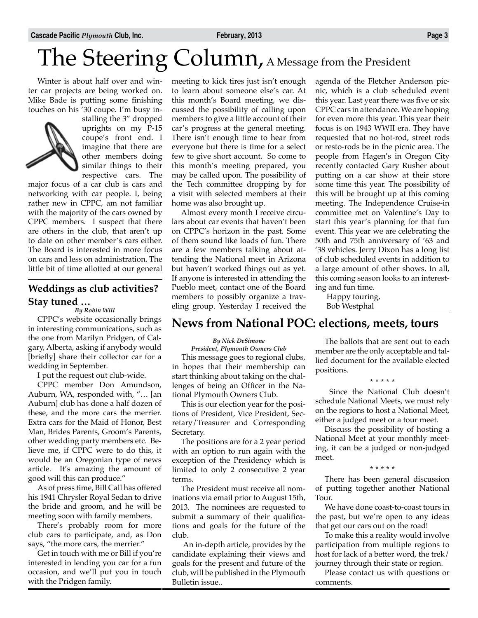Winter is about half over and winter car projects are being worked on. Mike Bade is putting some finishing touches on his '30 coupe. I'm busy in-



stalling the 3" dropped uprights on my P-15 coupe's front end. I imagine that there are other members doing similar things to their respective cars. The

major focus of a car club is cars and networking with car people. I, being rather new in CPPC, am not familiar with the majority of the cars owned by CPPC members. I suspect that there are others in the club, that aren't up to date on other member's cars either. The Board is interested in more focus on cars and less on administration. The little bit of time allotted at our general

### **Weddings as club activities? Stay tuned …**

*By Robin Will*

CPPC's website occasionally brings in interesting communications, such as the one from Marilyn Pridgen, of Calgary, Alberta, asking if anybody would [briefly] share their collector car for a wedding in September.

I put the request out club-wide.

CPPC member Don Amundson, Auburn, WA, responded with, "… [an Auburn] club has done a half dozen of these, and the more cars the merrier. Extra cars for the Maid of Honor, Best Man, Brides Parents, Groom's Parents, other wedding party members etc. Believe me, if CPPC were to do this, it would be an Oregonian type of news article. It's amazing the amount of good will this can produce."

As of press time, Bill Call has offered his 1941 Chrysler Royal Sedan to drive the bride and groom, and he will be meeting soon with family members.

There's probably room for more club cars to participate, and, as Don says, "the more cars, the merrier."

Get in touch with me or Bill if you're interested in lending you car for a fun occasion, and we'll put you in touch with the Pridgen family.

meeting to kick tires just isn't enough to learn about someone else's car. At this month's Board meeting, we discussed the possibility of calling upon members to give a little account of their car's progress at the general meeting. There isn't enough time to hear from everyone but there is time for a select few to give short account. So come to this month's meeting prepared, you may be called upon. The possibility of the Tech committee dropping by for a visit with selected members at their home was also brought up.

Almost every month I receive circulars about car events that haven't been on CPPC's horizon in the past. Some of them sound like loads of fun. There are a few members talking about attending the National meet in Arizona but haven't worked things out as yet. If anyone is interested in attending the Pueblo meet, contact one of the Board members to possibly organize a traveling group. Yesterday I received the agenda of the Fletcher Anderson picnic, which is a club scheduled event this year. Last year there was five or six CPPC cars in attendance. We are hoping for even more this year. This year their focus is on 1943 WWII era. They have requested that no hot-rod, street rods or resto-rods be in the picnic area. The people from Hagen's in Oregon City recently contacted Gary Rusher about putting on a car show at their store some time this year. The possibility of this will be brought up at this coming meeting. The Independence Cruise-in committee met on Valentine's Day to start this year's planning for that fun event. This year we are celebrating the 50th and 75th anniversary of '63 and '38 vehicles. Jerry Dixon has a long list of club scheduled events in addition to a large amount of other shows. In all, this coming season looks to an interesting and fun time.

 Happy touring, Bob Westphal

### **News from National POC: elections, meets, tours**

*By Nick DeSimone*

*President, Plymouth Owners Club*

This message goes to regional clubs, in hopes that their membership can start thinking about taking on the challenges of being an Officer in the National Plymouth Owners Club.

This is our election year for the positions of President, Vice President, Secretary/Treasurer and Corresponding Secretary.

The positions are for a 2 year period with an option to run again with the exception of the Presidency which is limited to only 2 consecutive 2 year terms.

The President must receive all nominations via email prior to August 15th, 2013. The nominees are requested to submit a summary of their qualifications and goals for the future of the club.

 An in-depth article, provides by the candidate explaining their views and goals for the present and future of the club, will be published in the Plymouth Bulletin issue..

The ballots that are sent out to each member are the only acceptable and tallied document for the available elected positions.

**\* \* \* \* \***

 Since the National Club doesn't schedule National Meets, we must rely on the regions to host a National Meet, either a judged meet or a tour meet.

Discuss the possibility of hosting a National Meet at your monthly meeting, it can be a judged or non-judged meet.

**\* \* \* \* \***

There has been general discussion of putting together another National Tour.

We have done coast-to-coast tours in the past, but we're open to any ideas that get our cars out on the road!

To make this a reality would involve participation from multiple regions to host for lack of a better word, the trek/ journey through their state or region.

Please contact us with questions or comments.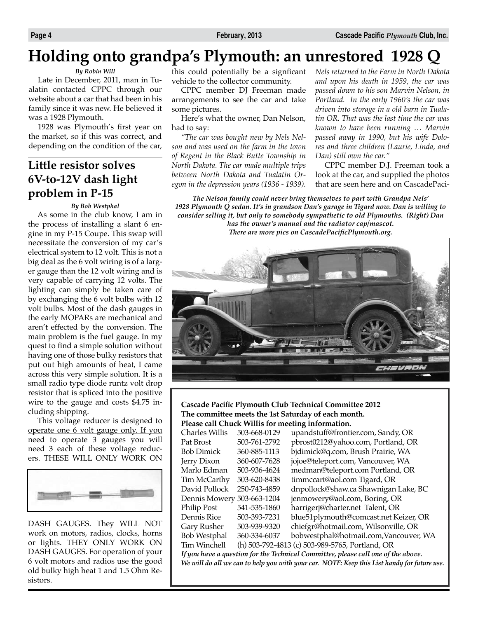# **Holding onto grandpa's Plymouth: an unrestored 1928 Q**

#### *By Robin Will*

Late in December, 2011, man in Tualatin contacted CPPC through our website about a car that had been in his family since it was new. He believed it was a 1928 Plymouth.

1928 was Plymouth's first year on the market, so if this was correct, and depending on the condition of the car,

### **Little resistor solves 6V-to-12V dash light problem in P-15**

#### *By Bob Westphal*

As some in the club know, I am in the process of installing a slant 6 engine in my P-15 Coupe. This swap will necessitate the conversion of my car's electrical system to 12 volt. This is not a big deal as the 6 volt wiring is of a larger gauge than the 12 volt wiring and is very capable of carrying 12 volts. The lighting can simply be taken care of by exchanging the 6 volt bulbs with 12 volt bulbs. Most of the dash gauges in the early MOPARs are mechanical and aren't effected by the conversion. The main problem is the fuel gauge. In my quest to find a simple solution without having one of those bulky resistors that put out high amounts of heat, I came across this very simple solution. It is a small radio type diode runtz volt drop resistor that is spliced into the positive wire to the gauge and costs \$4.75 including shipping.

This voltage reducer is designed to operate one 6 volt gauge only. If you need to operate 3 gauges you will need 3 each of these voltage reducers. THESE WILL ONLY WORK ON



DASH GAUGES. They WILL NOT work on motors, radios, clocks, horns or lights. THEY ONLY WORK ON DASH GAUGES. For operation of your 6 volt motors and radios use the good old bulky high heat 1 and 1.5 Ohm Resistors.

this could potentially be a signficant vehicle to the collector community.

CPPC member DJ Freeman made arrangements to see the car and take some pictures.

Here's what the owner, Dan Nelson, had to say:

*"The car was bought new by Nels Nelson and was used on the farm in the town of Regent in the Black Butte Township in North Dakota. The car made multiple trips between North Dakota and Tualatin Oregon in the depression years (1936 - 1939).* 

*Nels returned to the Farm in North Dakota and upon his death in 1959, the car was passed down to his son Marvin Nelson, in Portland. In the early 1960's the car was driven into storage in a old barn in Tualatin OR. That was the last time the car was known to have been running … Marvin passed away in 1990, but his wife Dolores and three children (Laurie, Linda, and Dan) still own the car."*

CPPC member D.J. Freeman took a look at the car, and supplied the photos that are seen here and on CascadePaci-

*The Nelson family could never bring themselves to part with Grandpa Nels' 1928 Plymouth Q sedan. It's in grandson Dan's garage in Tigard now. Dan is willing to consider selling it, but only to somebody sympathetic to old Plymouths. (Right) Dan has the owner's manual and the radiator cap/mascot. There are more pics on CascadePacificPlymouth.org.*



#### **Cascade Pacific Plymouth Club Technical Committee 2012 The committee meets the 1st Saturday of each month. Please call Chuck Willis for meeting information.**

| <b>Charles Willis</b>                                                                       | 503-668-0129 | upandstuff@frontier.com, Sandy, OR              |  |  |
|---------------------------------------------------------------------------------------------|--------------|-------------------------------------------------|--|--|
| Pat Brost                                                                                   | 503-761-2792 | pbrost0212@yahoo.com, Portland, OR              |  |  |
| <b>Bob Dimick</b>                                                                           | 360-885-1113 | bjdimick@q.com, Brush Prairie, WA               |  |  |
| Jerry Dixon                                                                                 | 360-607-7628 | jojoe@teleport.com, Vancouver, WA               |  |  |
| Marlo Edman                                                                                 | 503-936-4624 | medman@teleport.com Portland, OR                |  |  |
| Tim McCarthy                                                                                | 503-620-8438 | timmccart@aol.com Tigard, OR                    |  |  |
| David Pollock                                                                               | 250-743-4859 | dnpollock@shaw.ca Shawnigan Lake, BC            |  |  |
| Dennis Mowery 503-663-1204                                                                  |              | jenmowery@aol.com, Boring, OR                   |  |  |
| Philip Post                                                                                 | 541-535-1860 | harrigerj@charter.net Talent, OR                |  |  |
| Dennis Rice                                                                                 | 503-393-7231 | blue51plymouth@comcast.net Keizer, OR           |  |  |
| Gary Rusher                                                                                 | 503-939-9320 | chiefgr@hotmail.com, Wilsonville, OR            |  |  |
| <b>Bob Westphal</b>                                                                         | 360-334-6037 | bobwestphal@hotmail.com, Vancouver, WA          |  |  |
| Tim Winchell                                                                                |              | (h) 503-792-4813 (c) 503-989-5765, Portland, OR |  |  |
| If you have a question for the Technical Committee, please call one of the above.           |              |                                                 |  |  |
| We will do all we can to help you with your car. NOTE: Keep this List handy for future use. |              |                                                 |  |  |
|                                                                                             |              |                                                 |  |  |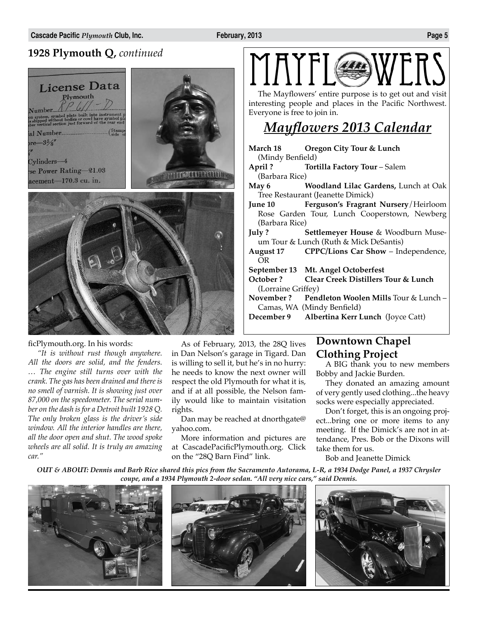## **1928 Plymouth Q,** *continued*



#### ficPlymouth.org. In his words:

*"It is without rust though anywhere. All the doors are solid, and the fenders. … The engine still turns over with the crank. The gas has been drained and there is no smell of varnish. It is showing just over 87,000 on the speedometer. The serial number on the dash is for a Detroit built 1928 Q. The only broken glass is the driver's side window. All the interior handles are there, all the door open and shut. The wood spoke wheels are all solid. It is truly an amazing car."*

As of February, 2013, the 28Q lives in Dan Nelson's garage in Tigard. Dan is willing to sell it, but he's in no hurry: he needs to know the next owner will respect the old Plymouth for what it is, and if at all possible, the Nelson family would like to maintain visitation rights.

Dan may be reached at dnorthgate@ yahoo.com.

More information and pictures are at CascadePacificPlymouth.org. Click on the "28Q Barn Find" link.

The Mayflowers' entire purpose is to get out and visit interesting people and places in the Pacific Northwest. Everyone is free to join in.

## *Mayflowers 2013 Calendar*

**March 18 Oregon City Tour & Lunch** (Mindy Benfield) **April ? Tortilla Factory Tour** – Salem (Barbara Rice) **May 6 Woodland Lilac Gardens,** Lunch at Oak Tree Restaurant (Jeanette Dimick) **June 10 Ferguson's Fragrant Nursery**/Heirloom Rose Garden Tour, Lunch Cooperstown, Newberg (Barbara Rice) **July ? Settlemeyer House** & Woodburn Museum Tour & Lunch (Ruth & Mick DeSantis) **August 17 CPPC/Lions Car Show** – Independence, OR **September 13 Mt. Angel Octoberfest October ? Clear Creek Distillers Tour & Lunch** (Lorraine Griffey) **November ? Pendleton Woolen Mills** Tour & Lunch – Camas, WA (Mindy Benfield) **December 9 Albertina Kerr Lunch** (Joyce Catt)

### **Downtown Chapel Clothing Project**

A BIG thank you to new members Bobby and Jackie Burden.

They donated an amazing amount of very gently used clothing...the heavy socks were especially appreciated.

Don't forget, this is an ongoing project...bring one or more items to any meeting. If the Dimick's are not in attendance, Pres. Bob or the Dixons will take them for us.

Bob and Jeanette Dimick

*OUT & ABOUT: Dennis and Barb Rice shared this pics from the Sacramento Autorama, L-R, a 1934 Dodge Panel, a 1937 Chrysler coupe, and a 1934 Plymouth 2-door sedan. "All very nice cars," said Dennis.* 

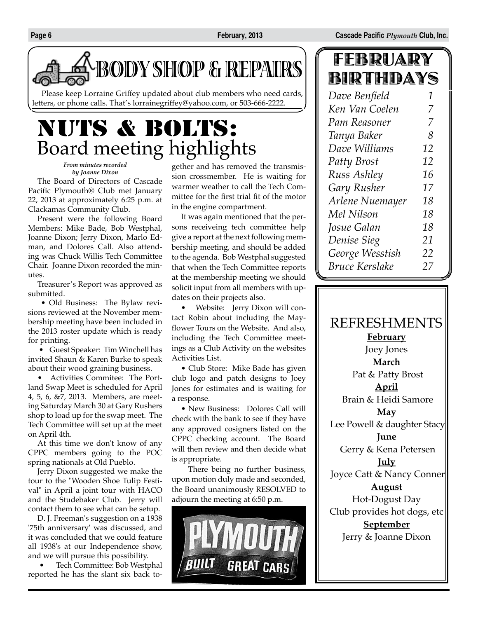

Please keep Lorraine Griffey updated about club members who need cards, letters, or phone calls. That's lorrainegriffey@yahoo.com, or 503-666-2222.

# NUTS & BOLTS: Board meeting highlights

*From minutes recorded by Joanne Dixon*

The Board of Directors of Cascade Pacific Plymouth® Club met January 22, 2013 at approximately 6:25 p.m. at Clackamas Community Club.

Present were the following Board Members: Mike Bade, Bob Westphal, Joanne Dixon; Jerry Dixon, Marlo Edman, and Dolores Call. Also attending was Chuck Willis Tech Committee Chair. Joanne Dixon recorded the minutes.

Treasurer's Report was approved as submitted.

 • Old Business: The Bylaw revisions reviewed at the November membership meeting have been included in the 2013 roster update which is ready for printing.

 • Guest Speaker: Tim Winchell has invited Shaun & Karen Burke to speak about their wood graining business.

• Activities Commitee: The Portland Swap Meet is scheduled for April 4, 5, 6, &7, 2013. Members, are meeting Saturday March 30 at Gary Rushers shop to load up for the swap meet. The Tech Committee will set up at the meet on April 4th.

At this time we don't know of any CPPC members going to the POC spring nationals at Old Pueblo.

Jerry Dixon suggested we make the tour to the "Wooden Shoe Tulip Festival" in April a joint tour with HACO and the Studebaker Club. Jerry will contact them to see what can be setup.

D. J. Freeman's suggestion on a 1938 '75th anniversary' was discussed, and it was concluded that we could feature all 1938's at our Independence show, and we will pursue this possibility.

 • Tech Committee: Bob Westphal reported he has the slant six back together and has removed the transmission crossmember. He is waiting for warmer weather to call the Tech Committee for the first trial fit of the motor in the engine compartment.

It was again mentioned that the persons receiveing tech committee help give a report at the next following membership meeting, and should be added to the agenda. Bob Westphal suggested that when the Tech Committee reports at the membership meeting we should solicit input from all members with updates on their projects also.

• Website: Jerry Dixon will contact Robin about including the Mayflower Tours on the Website. And also, including the Tech Committee meetings as a Club Activity on the websites Activities List.

• Club Store: Mike Bade has given club logo and patch designs to Joey Jones for estimates and is waiting for a response.

• New Business: Dolores Call will check with the bank to see if they have any approved cosigners listed on the CPPC checking account. The Board will then review and then decide what is appropriate.

 There being no further business, upon motion duly made and seconded, the Board unanimously RESOLVED to adjourn the meeting at 6:50 p.m.



# FEBRUARY BIRTHDAYS

| Dave Benfield         | 1  |
|-----------------------|----|
| Ken Van Coelen        | 7  |
| Pam Reasoner          | 7  |
| Tanya Baker           | 8  |
| Dave Williams         | 12 |
| <b>Patty Brost</b>    | 12 |
| Russ Ashley           | 16 |
| Gary Rusher           | 17 |
| Arlene Nuemayer       | 18 |
| Mel Nilson            | 18 |
| Josue Galan           | 18 |
| Denise Sieg           | 21 |
| George Wesstish       | 22 |
| <b>Bruce Kerslake</b> | 27 |

REFRESHMENTS **February** Joey Jones **March** Pat & Patty Brost **April** Brain & Heidi Samore **May** Lee Powell & daughter Stacy **June** Gerry & Kena Petersen **July** Joyce Catt & Nancy Conner **August** Hot-Dogust Day Club provides hot dogs, etc **September** Jerry & Joanne Dixon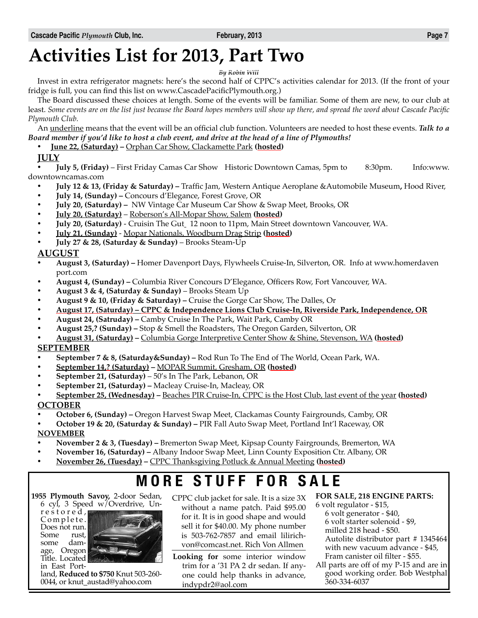# **Activities List for 2013, Part Two**

*By Robin Will*

Invest in extra refrigerator magnets: here's the second half of CPPC's activities calendar for 2013. (If the front of your fridge is full, you can find this list on www.CascadePacificPlymouth.org.)

The Board discussed these choices at length. Some of the events will be familiar. Some of them are new, to our club at least. *Some events are on the list just because the Board hopes members will show up there, and spread the word about Cascade Pacific Plymouth Club.*

An underline means that the event will be an official club function. Volunteers are needed to host these events. *Talk to a Board member if you'd like to host a club event, and drive at the head of a line of Plymouths!*

• **June 22, (Saturday) –** Orphan Car Show, Clackamette Park **(hosted)**

#### **July**

• **July 5, (Friday)** – First Friday Camas Car Show Historic Downtown Camas, 5pm to 8:30pm. Info:www. downtowncamas.com

- **July 12 & 13, (Friday & Saturday) –** Traffic Jam, Western Antique Aeroplane &Automobile Museum**,** Hood River,
- **July 14, (Sunday) –** Concours d'Elegance, Forest Grove, OR
- **July 20, (Saturday) –** NW Vintage Car Museum Car Show & Swap Meet, Brooks, OR
- **July 20, (Saturday)** Roberson's All-Mopar Show, Salem **(hosted)**
- **July 20, (Saturday)**  Cruisin The Gut 12 noon to 11pm, Main Street downtown Vancouver, WA.
- **July 21, (Sunday)** Mopar Nationals, Woodburn Drag Strip **(hosted)**
- **July 27 & 28, (Saturday & Sunday)** Brooks Steam-Up

#### **August**

- **August 3, (Saturday) –** Homer Davenport Days, Flywheels Cruise-In, Silverton, OR. Info at www.homerdaven port.com
- **August 4, (Sunday) –** Columbia River Concours D'Elegance, Officers Row, Fort Vancouver, WA.
- **August 3 & 4, (Saturday & Sunday)** Brooks Steam Up
- **August 9 & 10, (Friday & Saturday) –** Cruise the Gorge Car Show, The Dalles, Or
- **August 17, (Saturday) CPPC & Independence Lions Club Cruise-In, Riverside Park, Independence, OR**
- **August 24, (Satruday) –** Camby Cruise In The Park, Wait Park, Camby OR
- **August 25,? (Sunday) –** Stop & Smell the Roadsters, The Oregon Garden, Silverton, OR
- **August 31, (Saturday) –** Columbia Gorge Interpretive Center Show & Shine, Stevenson, WA **(hosted)**

#### **September**

- **September 7 & 8, (Saturday&Sunday) –** Rod Run To The End of The World, Ocean Park, WA.
- **September 14,? (Saturday) –** MOPAR Summit, Gresham, OR **(hosted)**
- **September 21, (Saturday)** 50's In The Park, Lebanon, OR
- **September 21, (Saturday) –** Macleay Cruise-In, Macleay, OR
- **September 25, (Wednesday) –** Beaches PIR Cruise-In, CPPC is the Host Club, last event of the year **(hosted) October**
- **October 6, (Sunday) –** Oregon Harvest Swap Meet, Clackamas County Fairgrounds, Camby, OR
- **October 19 & 20, (Saturday & Sunday) –** PIR Fall Auto Swap Meet, Portland Int'l Raceway, OR **November**
- **November 2 & 3, (Tuesday) –** Bremerton Swap Meet, Kipsap County Fairgrounds, Bremerton, WA
- **November 16, (Saturday) –** Albany Indoor Swap Meet, Linn County Exposition Ctr. Albany, OR
- **November 26, (Tuesday) –** CPPC Thanksgiving Potluck & Annual Meeting **(hosted)**

# **MORE STUFF FOR SALE**

**1955 Plymouth Savoy,** 2-door Sedan, 6 cyl, 3 Speed w/Overdrive, Un-

r e s t o r e d , Complete. Does not run.<br>Some rust, Some some damage, Oregon Title. Located in East Port-



land, **Reduced to \$750** Knut 503-260- 0044, or knut\_austad@yahoo.com

- CPPC club jacket for sale. It is a size 3X without a name patch. Paid \$95.00 for it. It is in good shape and would sell it for \$40.00. My phone number is 503-762-7857 and email lilirichvon@comcast.net. Rich Von Allmen
- **Looking for** some interior window trim for a '31 PA 2 dr sedan. If anyone could help thanks in advance, indypdr2@aol.com

#### **For Sale, 218 engine parts:**

6 volt regulator - \$15, 6 volt generator - \$40, 6 volt starter solenoid - \$9, milled 218 head - \$50. Autolite distributor part # 1345464 with new vacuum advance - \$45, Fram canister oil filter - \$55.

All parts are off of my P-15 and are in good working order. Bob Westphal 360-334-6037